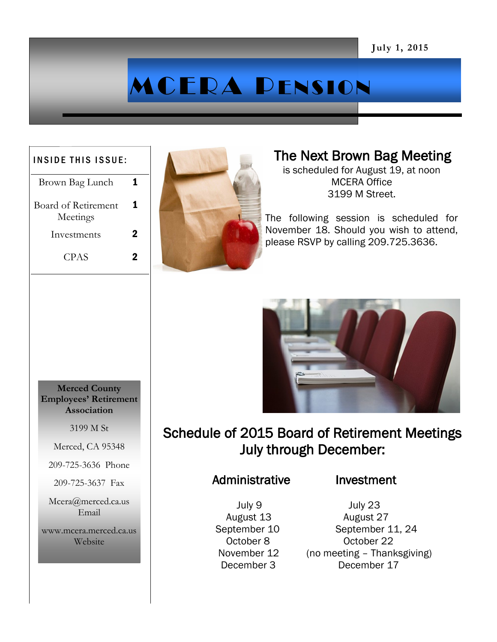# MCERA PENSION

#### INSIDE THIS ISSUE:

Brown Bag Lunch 1 Board of Retirement Meetings 1 Investments 2 CPAS 2



### The Next Brown Bag Meeting

is scheduled for August 19, at noon MCERA Office 3199 M Street.

The following session is scheduled for November 18. Should you wish to attend, please RSVP by calling 209.725.3636.



## Schedule of 2015 Board of Retirement Meetings July through December:

#### Administrative Investment

July 9 July 23

 August 13 August 27 September 10 September 11, 24 October 8 October 22 November 12 (no meeting – Thanksgiving) December 3 December 17

**Merced County Employees' Retirement Association**

3199 M St

Merced, CA 95348

209-725-3636 Phone

209-725-3637 Fax

Mcera@merced.ca.us Email

www.mcera.merced.ca.us Website